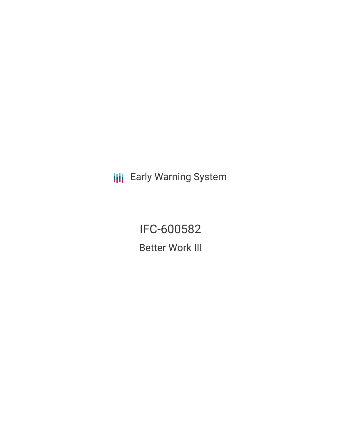**III** Early Warning System

IFC-600582 Better Work III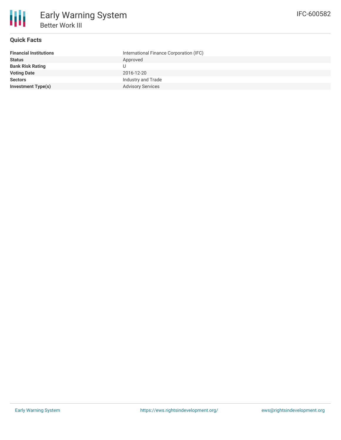

# **Quick Facts**

| <b>Financial Institutions</b> | International Finance Corporation (IFC) |
|-------------------------------|-----------------------------------------|
| <b>Status</b>                 | Approved                                |
| <b>Bank Risk Rating</b>       | U                                       |
| <b>Voting Date</b>            | 2016-12-20                              |
| <b>Sectors</b>                | Industry and Trade                      |
| <b>Investment Type(s)</b>     | <b>Advisory Services</b>                |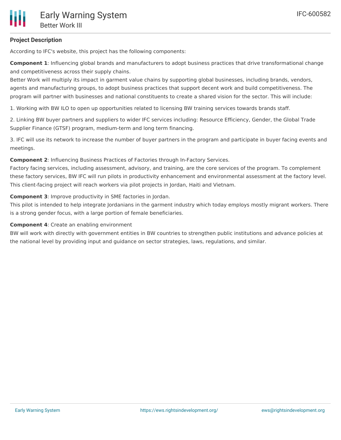## **Project Description**

According to IFC's website, this project has the following components:

**Component 1**: Influencing global brands and manufacturers to adopt business practices that drive transformational change and competitiveness across their supply chains.

Better Work will multiply its impact in garment value chains by supporting global businesses, including brands, vendors, agents and manufacturing groups, to adopt business practices that support decent work and build competitiveness. The program will partner with businesses and national constituents to create a shared vision for the sector. This will include:

1. Working with BW ILO to open up opportunities related to licensing BW training services towards brands staff.

2. Linking BW buyer partners and suppliers to wider IFC services including: Resource Efficiency, Gender, the Global Trade Supplier Finance (GTSF) program, medium-term and long term financing.

3. IFC will use its network to increase the number of buyer partners in the program and participate in buyer facing events and meetings.

**Component 2**: Influencing Business Practices of Factories through In-Factory Services.

Factory facing services, including assessment, advisory, and training, are the core services of the program. To complement these factory services, BW IFC will run pilots in productivity enhancement and environmental assessment at the factory level. This client-facing project will reach workers via pilot projects in Jordan, Haiti and Vietnam.

**Component 3**: Improve productivity in SME factories in Jordan.

This pilot is intended to help integrate Jordanians in the garment industry which today employs mostly migrant workers. There is a strong gender focus, with a large portion of female beneficiaries.

#### **Component 4**: Create an enabling environment

BW will work with directly with government entities in BW countries to strengthen public institutions and advance policies at the national level by providing input and guidance on sector strategies, laws, regulations, and similar.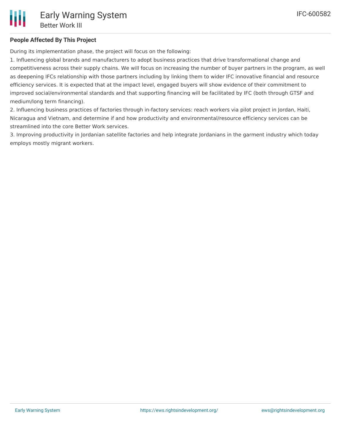## **People Affected By This Project**

During its implementation phase, the project will focus on the following:

1. Influencing global brands and manufacturers to adopt business practices that drive transformational change and competitiveness across their supply chains. We will focus on increasing the number of buyer partners in the program, as well as deepening IFCs relationship with those partners including by linking them to wider IFC innovative financial and resource efficiency services. It is expected that at the impact level, engaged buyers will show evidence of their commitment to improved social/environmental standards and that supporting financing will be facilitated by IFC (both through GTSF and medium/long term financing).

2. Influencing business practices of factories through in-factory services: reach workers via pilot project in Jordan, Haiti, Nicaragua and Vietnam, and determine if and how productivity and environmental/resource efficiency services can be streamlined into the core Better Work services.

3. Improving productivity in Jordanian satellite factories and help integrate Jordanians in the garment industry which today employs mostly migrant workers.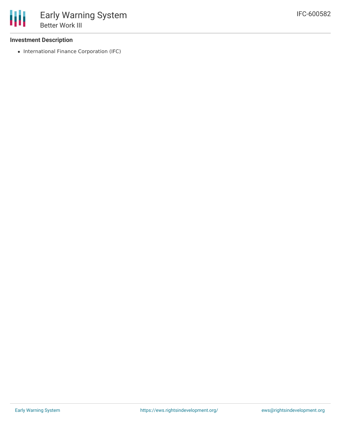#### **Investment Description**

• International Finance Corporation (IFC)